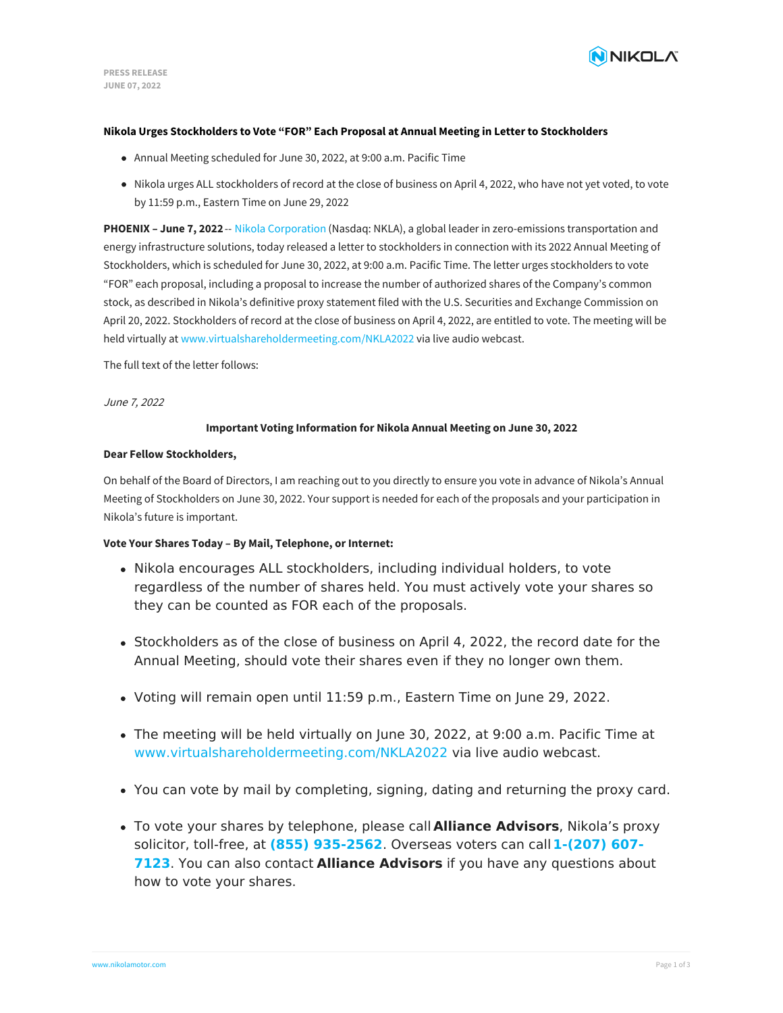

### **Nikola Urges Stockholders to Vote "FOR" Each Proposal at Annual Meeting in Letter to Stockholders**

- Annual Meeting scheduled for June 30, 2022, at 9:00 a.m. Pacific Time
- Nikola urges ALL stockholders of record at the close of business on April 4, 2022, who have not yet voted, to vote by 11:59 p.m., Eastern Time on June 29, 2022

**PHOENIX – June 7, 2022**-- Nikola [Corporation](https://www.nikolamotor.com/) (Nasdaq: NKLA), a global leader in zero-emissions transportation and energy infrastructure solutions, today released a letter to stockholders in connection with its 2022 Annual Meeting of Stockholders, which is scheduled for June 30, 2022, at 9:00 a.m. Pacific Time. The letter urges stockholders to vote "FOR" each proposal, including a proposal to increase the number of authorized shares of the Company's common stock, as described in Nikola's definitive proxy statement filed with the U.S. Securities and Exchange Commission on April 20, 2022. Stockholders of record at the close of business on April 4, 2022, are entitled to vote. The meeting will be held virtually at [www.virtualshareholdermeeting.com/NKLA2022](http://www.virtualshareholdermeeting.com/NKLA2022) via live audio webcast.

The full text of the letter follows:

June 7, 2022

## **Important Voting Information for Nikola Annual Meeting on June 30, 2022**

### **Dear Fellow Stockholders,**

On behalf of the Board of Directors, I am reaching out to you directly to ensure you vote in advance of Nikola's Annual Meeting of Stockholders on June 30, 2022. Your support is needed for each of the proposals and your participation in Nikola's future is important.

## **Vote Your Shares Today – By Mail, Telephone, or Internet:**

- Nikola encourages ALL stockholders, including individual holders, to vote regardless of the number of shares held. You must actively vote your shares so they can be counted as FOR each of the proposals.
- Stockholders as of the close of business on April 4, 2022, the record date for the Annual Meeting, should vote their shares even if they no longer own them.
- Voting will remain open until 11:59 p.m., Eastern Time on June 29, 2022.
- The meeting will be held virtually on June 30, 2022, at 9:00 a.m. Pacific Time at [www.virtualshareholdermeeting.com/NKLA2022](https://east.virtualshareholdermeeting.com/vsm/web?pvskey=30062022-654110) via live audio webcast.
- You can vote by mail by completing, signing, dating and returning the proxy card.
- To vote your shares by telephone, please call **Alliance Advisors**, Nikola's proxy solicitor, toll-free, at **(855) [935-2562](tel:+12076077123)**. Overseas voters can call**1-(207) 607- 7123**. You can also contact **Alliance Advisors** if you have any questions about how to vote your shares.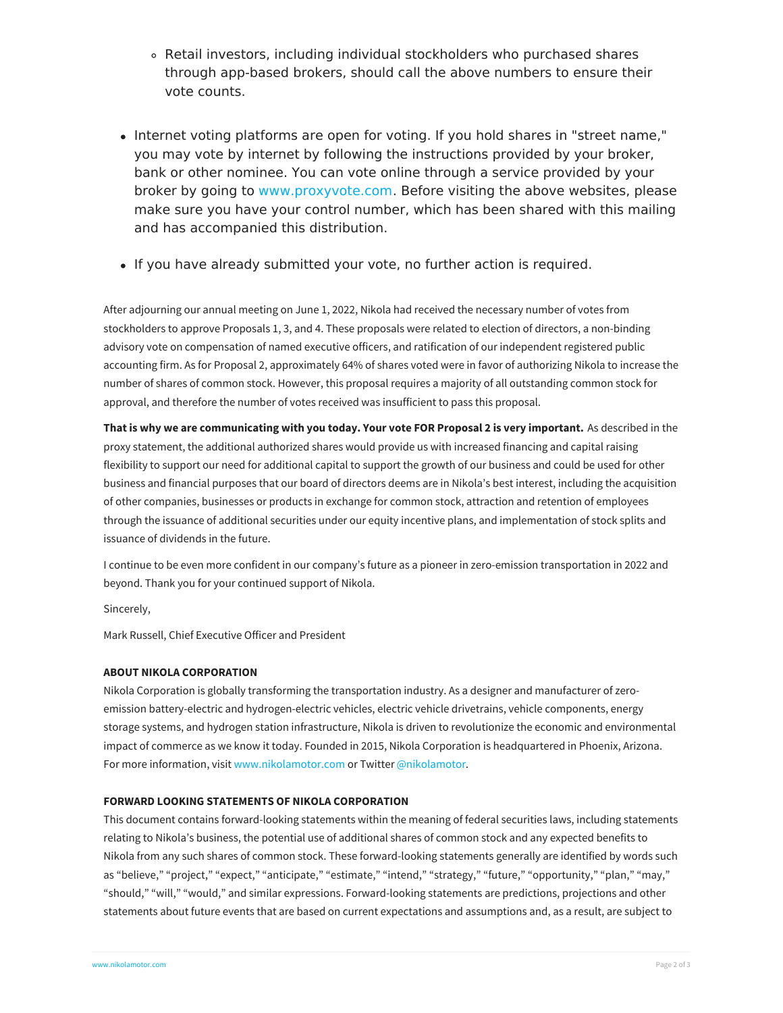- Retail investors, including individual stockholders who purchased shares through app-based brokers, should call the above numbers to ensure their vote counts.
- Internet voting platforms are open for voting. If you hold shares in "street name," you may vote by internet by following the instructions provided by your broker, bank or other nominee. You can vote online through a service provided by your broker by going to [www.proxyvote.com](http://www.proxyvote.com). Before visiting the above websites, please make sure you have your control number, which has been shared with this mailing and has accompanied this distribution.
- If you have already submitted your vote, no further action is required.

After adjourning our annual meeting on June 1, 2022, Nikola had received the necessary number of votes from stockholders to approve Proposals 1, 3, and 4. These proposals were related to election of directors, a non-binding advisory vote on compensation of named executive officers, and ratification of our independent registered public accounting firm. As for Proposal 2, approximately 64% of shares voted were in favor of authorizing Nikola to increase the number of shares of common stock. However, this proposal requires a majority of all outstanding common stock for approval, and therefore the number of votes received was insufficient to pass this proposal.

That is why we are communicating with you today. Your vote FOR Proposal 2 is very important. As described in the proxy statement, the additional authorized shares would provide us with increased financing and capital raising flexibility to support our need for additional capital to support the growth of our business and could be used for other business and financial purposes that our board of directors deems are in Nikola's best interest, including the acquisition of other companies, businesses or products in exchange for common stock, attraction and retention of employees through the issuance of additional securities under our equity incentive plans, and implementation of stock splits and issuance of dividends in the future.

I continue to be even more confident in our company's future as a pioneer in zero-emission transportation in 2022 and beyond. Thank you for your continued support of Nikola.

Sincerely,

Mark Russell, Chief Executive Officer and President

# **ABOUT NIKOLA CORPORATION**

Nikola Corporation is globally transforming the transportation industry. As a designer and manufacturer of zeroemission battery-electric and hydrogen-electric vehicles, electric vehicle drivetrains, vehicle components, energy storage systems, and hydrogen station infrastructure, Nikola is driven to revolutionize the economic and environmental impact of commerce as we know it today. Founded in 2015, Nikola Corporation is headquartered in Phoenix, Arizona. For more information, visit [www.nikolamotor.com](https://www.nikolamotor.com) or Twitter [@nikolamotor](https://www.twitter.com/nikolamotor).

# **FORWARD LOOKING STATEMENTS OF NIKOLA CORPORATION**

This document contains forward-looking statements within the meaning of federal securities laws, including statements relating to Nikola's business, the potential use of additional shares of common stock and any expected benefits to Nikola from any such shares of common stock. These forward-looking statements generally are identified by words such as "believe," "project," "expect," "anticipate," "estimate," "intend," "strategy," "future," "opportunity," "plan," "may," "should," "will," "would," and similar expressions. Forward-looking statements are predictions, projections and other [statements](file:///) about future events that are based on current expectations and assumptions and, as a result, are subject to